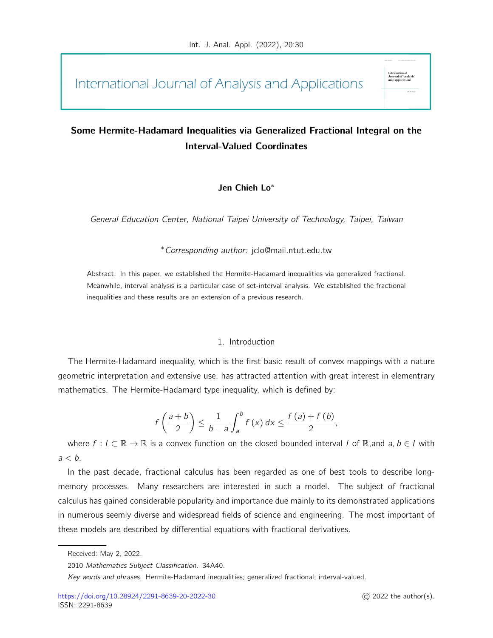International Journal of Analysis and Applications

# Some Hermite-Hadamard Inequalities via Generalized Fractional Integral on the Interval-Valued Coordinates

# Jen Chieh Lo<sup>∗</sup>

General Education Center, National Taipei University of Technology, Taipei, Taiwan

<sup>∗</sup>Corresponding author: jclo@mail.ntut.edu.tw

Abstract. In this paper, we established the Hermite-Hadamard inequalities via generalized fractional. Meanwhile, interval analysis is a particular case of set-interval analysis. We established the fractional inequalities and these results are an extension of a previous research.

# 1. Introduction

The Hermite-Hadamard inequality, which is the first basic result of convex mappings with a nature geometric interpretation and extensive use, has attracted attention with great interest in elementrary mathematics. The Hermite-Hadamard type inequality, which is defined by:

$$
f\left(\frac{a+b}{2}\right) \leq \frac{1}{b-a}\int_{a}^{b} f(x) dx \leq \frac{f(a)+f(b)}{2},
$$

where  $f: I \subset \mathbb{R} \to \mathbb{R}$  is a convex function on the closed bounded interval I of  $\mathbb{R}$ , and  $a, b \in I$  with  $a < b$ .

In the past decade, fractional calculus has been regarded as one of best tools to describe longmemory processes. Many researchers are interested in such a model. The subject of fractional calculus has gained considerable popularity and importance due mainly to its demonstrated applications in numerous seemly diverse and widespread fields of science and engineering. The most important of these models are described by differential equations with fractional derivatives.

Journal of .<br>and Applie:

Received: May 2, 2022.

<sup>2010</sup> Mathematics Subject Classification. 34A40.

Key words and phrases. Hermite-Hadamard inequalities; generalized fractional; interval-valued.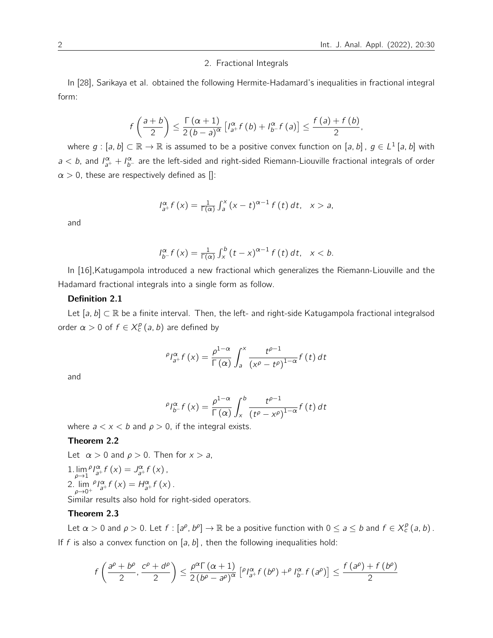#### 2. Fractional Integrals

In [28], Sarikaya et al. obtained the following Hermite-Hadamard's inequalities in fractional integral form:

$$
f\left(\frac{a+b}{2}\right)\leq \frac{\Gamma(\alpha+1)}{2\left(b-a\right)^{\alpha}}\left[l_{a^+}^{\alpha}f\left(b\right)+l_{b^-}^{\alpha}f\left(a\right)\right]\leq \frac{f\left(a\right)+f\left(b\right)}{2}.
$$

where  $g:[a,b]\subset \mathbb{R}\to \mathbb{R}$  is assumed to be a positive convex function on [a, b],  $g\in L^1$  [a, b] with  $a < b$ , and  $I_{a^+}^\alpha + I_{b^-}^\alpha$  are the left-sided and right-sided Riemann-Liouville fractional integrals of order  $\alpha > 0$ , these are respectively defined as  $[]$ :

$$
I_{a^{+}}^{\alpha}f(x)=\frac{1}{\Gamma(\alpha)}\int_{a}^{x}(x-t)^{\alpha-1}f(t)dt, \quad x>a,
$$

and

$$
I_{b^{-}}^{\alpha}f(x)=\frac{1}{\Gamma(\alpha)}\int_{x}^{b}(t-x)^{\alpha-1}f(t)dt, \quad x
$$

In [16],Katugampola introduced a new fractional which generalizes the Riemann-Liouville and the Hadamard fractional integrals into a single form as follow.

#### Definition 2.1

Let  $[a, b] \subset \mathbb{R}$  be a finite interval. Then, the left- and right-side Katugampola fractional integralsod order  $\alpha > 0$  of  $f \in X_c^p(a, b)$  are defined by

$$
\rho_{a} \rho_{a^{+}} f(x) = \frac{\rho^{1-\alpha}}{\Gamma(\alpha)} \int_{a}^{x} \frac{t^{\rho-1}}{(x^{\rho} - t^{\rho})^{1-\alpha}} f(t) dt
$$

and

$$
\rho_{b^{-}}f(x) = \frac{\rho^{1-\alpha}}{\Gamma(\alpha)} \int_{x}^{b} \frac{t^{\rho-1}}{(t^{\rho} - x^{\rho})^{1-\alpha}} f(t) dt
$$

where  $a < x < b$  and  $\rho > 0$ , if the integral exists.

### Theorem 2.2

Let  $\alpha > 0$  and  $\rho > 0$ . Then for  $x > a$ ,

1. 
$$
\lim_{\rho \to 1} \rho_{a^+} \hat{f}(x) = J_{a^+}^{\alpha} f(x),
$$
  
2. 
$$
\lim_{\rho \to 0^+} \rho_{a^+} \hat{f}(x) = H_{a^+}^{\alpha} f(x).
$$

Similar results also hold for right-sided operators.

# Theorem 2.3

Let  $\alpha > 0$  and  $\rho > 0$ . Let  $f : [a^{\rho}, b^{\rho}] \to \mathbb{R}$  be a positive function with  $0 \le a \le b$  and  $f \in X_c^{\rho}(a, b)$ . If f is also a convex function on  $[a, b]$ , then the following inequalities hold:

$$
f\left(\frac{a^{\rho}+b^{\rho}}{2},\frac{c^{\rho}+d^{\rho}}{2}\right)\leq \frac{\rho^{\alpha}\Gamma(\alpha+1)}{2\left(b^{\rho}-a^{\rho}\right)^{\alpha}}\left[\begin{array}{cc}\rho_{1_{a^{+}}}f\left(b^{\rho}\right)+\rho_{1_{b^{-}}}f\left(a^{\rho}\right)\end{array}\right]\leq \frac{f\left(a^{\rho}\right)+f\left(b^{\rho}\right)}{2}
$$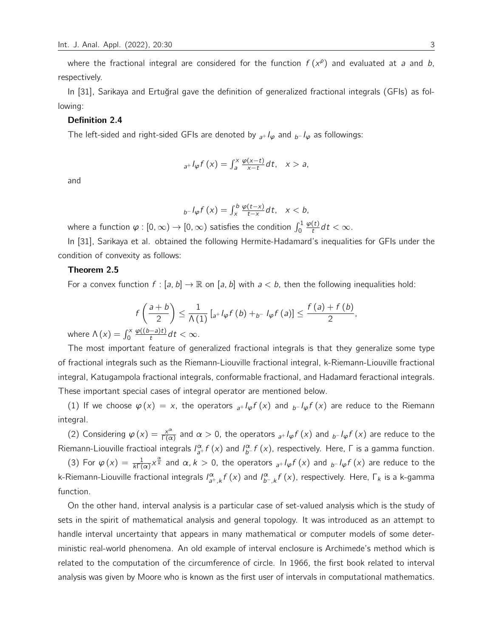where the fractional integral are considered for the function  $f(x^{\rho})$  and evaluated at a and b, respectively.

In [31], Sarikaya and Ertuğral gave the definition of generalized fractional integrals (GFIs) as following:

#### Definition 2.4

The left-sided and right-sided GFIs are denoted by  ${}_{a+}I_{\varphi}$  and  ${}_{b-}I_{\varphi}$  as followings:

$$
_{a^{+}}I_{\varphi}f\left( x\right) =\int_{a}^{x}\frac{\varphi(x-t)}{x-t}dt, \quad x>a,
$$

and

$$
_{b^{-}}I_{\varphi}f\left( x\right) =\int_{x}^{b}\frac{\varphi(t-x)}{t-x}dt,\quad x
$$

where a function  $\varphi:[0,\infty)\to[0,\infty)$  satisfies the condition  $\int_0^1$  $\varphi(t)$  $\frac{t}{t} dt < \infty$ .

In [31], Sarikaya et al. obtained the following Hermite-Hadamard's inequalities for GFIs under the condition of convexity as follows:

#### Theorem 2.5

For a convex function  $f : [a, b] \to \mathbb{R}$  on [a, b] with  $a < b$ , then the following inequalities hold:

$$
f\left(\frac{a+b}{2}\right) \leq \frac{1}{\Lambda(1)}\left[a+I_{\varphi}f\left(b\right)+b-I_{\varphi}f\left(a\right)\right] \leq \frac{f\left(a\right)+f\left(b\right)}{2},
$$

where  $\Lambda(x) = \int_0^x$  $\varphi((b-a)t)$  $\frac{(-a)t}{t}dt < \infty$ .

The most important feature of generalized fractional integrals is that they generalize some type of fractional integrals such as the Riemann-Liouville fractional integral, k-Riemann-Liouville fractional integral, Katugampola fractional integrals, conformable fractional, and Hadamard feractional integrals. These important special cases of integral operator are mentioned below.

(1) If we choose  $\varphi(x) = x$ , the operators  ${}_{a+}I_{\varphi}f(x)$  and  ${}_{b-}I_{\varphi}f(x)$  are reduce to the Riemann integral.

(2) Considering  $\varphi(x) = \frac{x^{\alpha}}{\Gamma(x)}$  $\frac{x^{\alpha}}{\Gamma(\alpha)}$  and  $\alpha > 0$ , the operators  ${}_{a^{+}}I_{\varphi}f(x)$  and  ${}_{b^{-}}I_{\varphi}f(x)$  are reduce to the Riemann-Liouville fractioal integrals  $I_{a+}^{\alpha} f(x)$  and  $I_{b-}^{\alpha} f(x)$ , respectively. Here,  $\Gamma$  is a gamma function.

(3) For  $\varphi(x) = \frac{1}{k\Gamma(\alpha)}x^{\frac{\alpha}{k}}$  and  $\alpha, k > 0$ , the operators  ${}_{a^+}I_{\varphi}f(x)$  and  ${}_{b^-}I_{\varphi}f(x)$  are reduce to the k-Riemann-Liouville fractional integrals  $I_{a^+,k}^\alpha f(x)$  and  $I_{b^-,k}^\alpha f(x)$ , respectively. Here,  $\Gamma_k$  is a k-gamma function.

On the other hand, interval analysis is a particular case of set-valued analysis which is the study of sets in the spirit of mathematical analysis and general topology. It was introduced as an attempt to handle interval uncertainty that appears in many mathematical or computer models of some deterministic real-world phenomena. An old example of interval enclosure is Archimede's method which is related to the computation of the circumference of circle. In 1966, the first book related to interval analysis was given by Moore who is known as the first user of intervals in computational mathematics.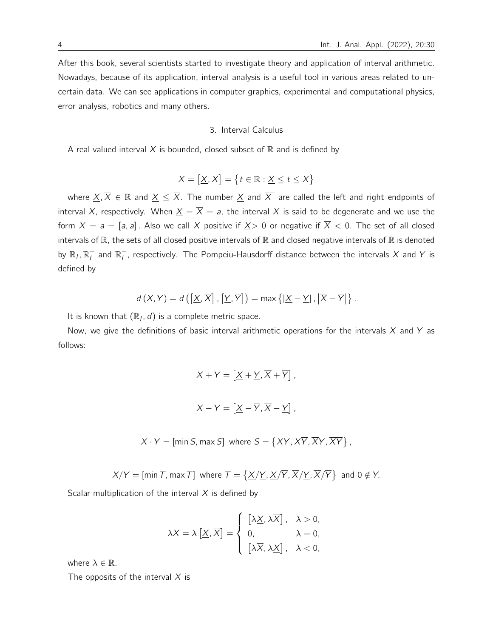After this book, several scientists started to investigate theory and application of interval arithmetic. Nowadays, because of its application, interval analysis is a useful tool in various areas related to uncertain data. We can see applications in computer graphics, experimental and computational physics, error analysis, robotics and many others.

#### 3. Interval Calculus

A real valued interval  $X$  is bounded, closed subset of  $\mathbb R$  and is defined by

$$
X=\left[\underline{X},\overline{X}\right]=\left\{ t\in\mathbb{R}:\underline{X}\leq t\leq\overline{X}\right\}
$$

where  $\underline{X}, \overline{X} \in \mathbb{R}$  and  $\underline{X} \leq \overline{X}$ . The number  $\underline{X}$  and  $\overline{X}$  are called the left and right endpoints of interval X, respectively. When  $\underline{X} = \overline{X} = a$ , the interval X is said to be degenerate and we use the form  $X = a = [a, a]$ . Also we call X positive if  $X > 0$  or negative if  $\overline{X} < 0$ . The set of all closed intervals of  $\mathbb R$ , the sets of all closed positive intervals of  $\mathbb R$  and closed negative intervals of  $\mathbb R$  is denoted by  $\R_l, \R_l^+$  and  $\R_l^-$ , respectively. The Pompeiu-Hausdorff distance between the intervals  $X$  and  $Y$  is defined by

$$
d(X,Y) = d\left(\left[\underline{X},\overline{X}\right],\left[\underline{Y},\overline{Y}\right]\right) = \max\left\{\left|\underline{X}-\underline{Y}\right|,\left|\overline{X}-\overline{Y}\right|\right\}.
$$

It is known that  $(\mathbb{R}_I, d)$  is a complete metric space.

Now, we give the definitions of basic interval arithmetic operations for the intervals  $X$  and  $Y$  as follows:

$$
X + Y = \left[ \underline{X} + \underline{Y}, \overline{X} + \overline{Y} \right],
$$

$$
X - Y = \left[ \underline{X} - \overline{Y}, \overline{X} - \underline{Y} \right],
$$

$$
X \cdot Y = [\min S, \max S] \text{ where } S = \{ \underline{XY}, \underline{X} \overline{Y}, \overline{X} \underline{Y}, \overline{X} \overline{Y} \},
$$

$$
X/Y = [\text{min } T, \text{max } T] \text{ where } T = \left\{ \frac{X}{Y}, \frac{X}{Y}, \frac{X}{Y}, \frac{X}{Y}, \frac{X}{Y} \right\} \text{ and } 0 \notin Y.
$$

Scalar multiplication of the interval  $X$  is defined by

$$
\lambda X = \lambda \left[ \underline{X}, \overline{X} \right] = \begin{cases} \left[ \lambda \underline{X}, \lambda \overline{X} \right], & \lambda > 0, \\ 0, & \lambda = 0, \\ \left[ \lambda \overline{X}, \lambda \underline{X} \right], & \lambda < 0, \end{cases}
$$

where  $\lambda \in \mathbb{R}$ .

The opposits of the interval  $X$  is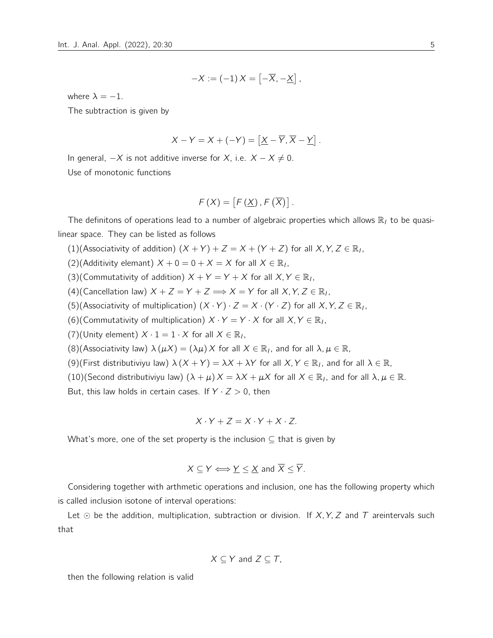$$
-X:=(-1)X=\left[-\overline{X},-\underline{X}\right],
$$

where  $\lambda = -1$ .

The subtraction is given by

$$
X - Y = X + (-Y) = [\underline{X} - \overline{Y}, \overline{X} - \underline{Y}].
$$

In general,  $-X$  is not additive inverse for X, i.e.  $X - X \neq 0$ . Use of monotonic functions

$$
F(X) = [F(\underline{X}), F(\overline{X})].
$$

The definitons of operations lead to a number of algebraic properties which allows  $\mathbb{R}_1$  to be quasilinear space. They can be listed as follows

(1)(Associativity of addition)  $(X + Y) + Z = X + (Y + Z)$  for all  $X, Y, Z \in \mathbb{R}_1$ ,

(2)(Additivity elemant)  $X + 0 = 0 + X = X$  for all  $X \in \mathbb{R}_1$ ,

(3)(Commutativity of addition)  $X + Y = Y + X$  for all  $X, Y \in \mathbb{R}_1$ ,

(4)(Cancellation law)  $X + Z = Y + Z \Longrightarrow X = Y$  for all  $X, Y, Z \in \mathbb{R}_1$ ,

(5)(Associativity of multiplication)  $(X \cdot Y) \cdot Z = X \cdot (Y \cdot Z)$  for all  $X, Y, Z \in \mathbb{R}_1$ ,

(6)(Commutativity of multiplication)  $X \cdot Y = Y \cdot X$  for all  $X, Y \in \mathbb{R}_1$ ,

(7)(Unity element)  $X \cdot 1 = 1 \cdot X$  for all  $X \in \mathbb{R}_1$ ,

(8)(Associativity law)  $\lambda (\mu X) = (\lambda \mu) X$  for all  $X \in \mathbb{R}_1$ , and for all  $\lambda, \mu \in \mathbb{R}$ ,

(9)(First distributiviyu law)  $\lambda (X + Y) = \lambda X + \lambda Y$  for all  $X, Y \in \mathbb{R}_1$ , and for all  $\lambda \in \mathbb{R}$ ,

(10)(Second distributiviyu law)  $(\lambda + \mu) X = \lambda X + \mu X$  for all  $X \in \mathbb{R}_I$ , and for all  $\lambda, \mu \in \mathbb{R}$ .

But, this law holds in certain cases. If  $Y \cdot Z > 0$ , then

$$
X \cdot Y + Z = X \cdot Y + X \cdot Z.
$$

What's more, one of the set property is the inclusion  $\subseteq$  that is given by

$$
X \subseteq Y \Longleftrightarrow Y \leq \underline{X} \text{ and } \overline{X} \leq \overline{Y}.
$$

Considering together with arthmetic operations and inclusion, one has the following property which is called inclusion isotone of interval operations:

Let  $\odot$  be the addition, multiplication, subtraction or division. If X, Y, Z and T areintervals such that

$$
X \subseteq Y \text{ and } Z \subseteq T,
$$

then the following relation is valid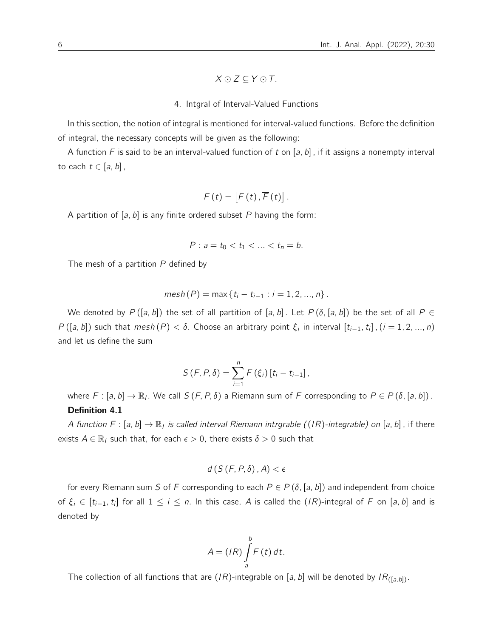$$
X\odot Z\subseteq Y\odot T.
$$

#### 4. Intgral of Interval-Valued Functions

In this section, the notion of integral is mentioned for interval-valued functions. Before the definition of integral, the necessary concepts will be given as the following:

A function F is said to be an interval-valued function of t on [a, b], if it assigns a nonempty interval to each  $t \in [a, b]$ ,

$$
F(t) = \left[\underline{F}(t), \overline{F}(t)\right].
$$

A partition of  $[a, b]$  is any finite ordered subset P having the form:

$$
P: a = t_0 < t_1 < \ldots < t_n = b.
$$

The mesh of a partition  $P$  defined by

$$
mesh(P) = max\{t_i - t_{i-1} : i = 1, 2, ..., n\}.
$$

We denoted by  $P([a, b])$  the set of all partition of [a, b]. Let  $P(\delta, [a, b])$  be the set of all  $P \in$  $P([a, b])$  such that  $mesh(P) < \delta$ . Choose an arbitrary point  $\xi_i$  in interval  $[t_{i-1}, t_i]$ ,  $(i = 1, 2, ..., n)$ and let us define the sum

$$
S(F, P, \delta) = \sum_{i=1}^{n} F(\xi_i) [t_i - t_{i-1}],
$$

where  $F:[a,b]\to\mathbb{R}_l$ . We call  $S(F, P, \delta)$  a Riemann sum of  $F$  corresponding to  $P\in P(\delta, [a,b])$ . Definition 4.1

A function  $F:[a,b]\to\mathbb{R}_I$  is called interval Riemann intrgrable  $((IR)$ -integrable) on  $[a,b]$ , if there exists  $A \in \mathbb{R}_l$  such that, for each  $\epsilon > 0$ , there exists  $\delta > 0$  such that

$$
d\left(S\left(F,P,\delta\right),A\right)<\epsilon
$$

for every Riemann sum S of F corresponding to each  $P \in P(\delta, [a, b])$  and independent from choice of  $\xi_i \in [t_{i-1},t_i]$  for all  $1\leq i\leq n$ . In this case,  $A$  is called the  $(IR)$ -integral of  $F$  on  $[a,b]$  and is denoted by

$$
A = (IR)\int_{a}^{b} F(t) dt.
$$

The collection of all functions that are (IR)-integrable on [a, b] will be denoted by  $IR_{([a,b])}$ .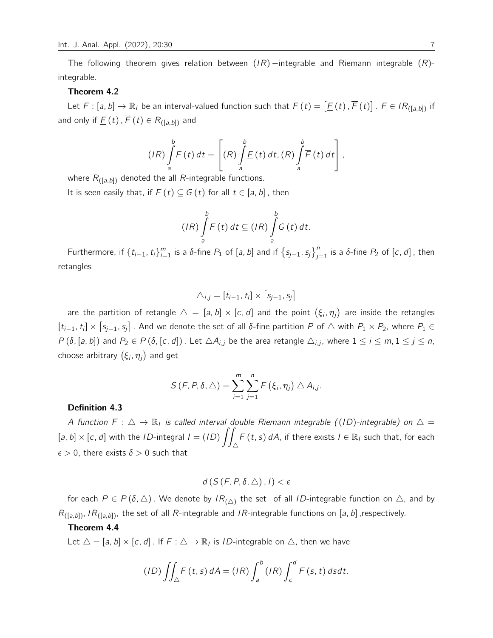The following theorem gives relation between  $(IR)$  –integrable and Riemann integrable  $(R)$ integrable.

#### Theorem 4.2

Let  $F:[a,b]\to\mathbb{R}$  be an interval-valued function such that  $F(t) = [E(t), \overline{F}(t)]$ .  $F \in IR_{([a,b])}$  if and only if  $\underline{F}(t)$ ,  $\overline{F}(t) \in R_{([a,b])}$  and

$$
(IR)\int_{a}^{b} F(t) dt = \left[ (R) \int_{a}^{b} \underline{F}(t) dt, (R) \int_{a}^{b} \overline{F}(t) dt \right],
$$

where  $R_{([a,b])}$  denoted the all R-integrable functions.

It is seen easily that, if  $F(t) \subseteq G(t)$  for all  $t \in [a, b]$ , then

$$
(IR)\int_{a}^{b}F(t) dt \subseteq (IR)\int_{a}^{b}G(t) dt.
$$

Furthermore, if  $\{t_{i-1}, t_i\}_{i=1}^m$  is a δ-fine  $P_1$  of  $[a, b]$  and if  $\{s_{j-1}, s_j\}_{j=1}^n$  is a δ-fine  $P_2$  of  $[c, d]$ , then retangles

$$
\triangle_{i,j}=[t_{i-1}, t_i]\times [s_{j-1}, s_j]
$$

are the partition of retangle  $\triangle = [a,b] \times [c,d]$  and the point  $(\xi_i, \eta_j)$  are inside the retangles  $[t_{i-1}, t_i] \times [s_{j-1}, s_j]$  . And we denote the set of all δ-fine partition P of  $\triangle$  with  $P_1 \times P_2$ , where  $P_1 \in$  $P(\delta, [a, b])$  and  $P_2 \in P(\delta, [c, d])$ . Let  $\triangle A_{i,j}$  be the area retangle  $\triangle_{i,j}$ , where  $1 \le i \le m, 1 \le j \le n$ , choose arbitrary  $(\xi_i,\eta_j)$  and get

$$
S(F, P, \delta, \triangle) = \sum_{i=1}^{m} \sum_{j=1}^{n} F(\xi_i, \eta_j) \triangle A_{i,j}.
$$

#### Definition 4.3

A function  $F: \triangle \to \mathbb{R}_I$  is called interval double Riemann integrable ((ID)-integrable) on  $\triangle =$ [a, b]  $\times$  [c, d] with the *ID*-integral  $I = (ID)$   $\int$  $\triangle$  $F(t, s) dA$ , if there exists  $I \in \mathbb{R}_1$  such that, for each  $\epsilon > 0$ , there exists  $\delta > 0$  such that

$$
d(S(F, P, \delta, \triangle), I) < \epsilon
$$

for each  $P\in P(\delta,\triangle)$  . We denote by  $IR_{(\triangle)}$  the set of all *ID*-integrable function on  $\triangle$ , and by  $R_{([a,b])}$ ,  $IR_{([a,b])}$ , the set of all R-integrable and IR-integrable functions on [a, b], respectively.

#### Theorem 4.4

Let  $\triangle = [a, b] \times [c, d]$ . If  $F : \triangle \rightarrow \mathbb{R}_l$  is *ID*-integrable on  $\triangle$ , then we have

$$
(ID) \iint_{\triangle} F(t,s) dA = (IR) \int_{a}^{b} (IR) \int_{c}^{d} F(s,t) ds dt.
$$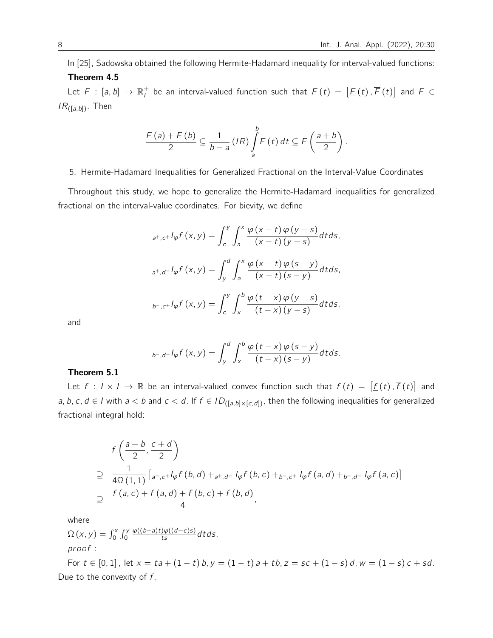In [25], Sadowska obtained the following Hermite-Hadamard inequality for interval-valued functions:

# Theorem 4.5

Let  $F$  :  $[a, b] \to \mathbb{R}^+_l$  be an interval-valued function such that  $F(t) = [E(t), \overline{F}(t)]$  and  $F \in$  $IR_{([a,b])}$ . Then

$$
\frac{F(a)+F(b)}{2}\subseteq \frac{1}{b-a}(IR)\int_{a}^{b}F(t) dt \subseteq F\left(\frac{a+b}{2}\right).
$$

# 5. Hermite-Hadamard Inequalities for Generalized Fractional on the Interval-Value Coordinates

Throughout this study, we hope to generalize the Hermite-Hadamard inequalities for generalized fractional on the interval-value coordinates. For bievity, we define

$$
{}_{a^+,c^+}l_{\varphi}f(x,y) = \int_c^y \int_a^x \frac{\varphi(x-t)\varphi(y-s)}{(x-t)(y-s)}dt ds,
$$
  

$$
{}_{a^+,d^-}l_{\varphi}f(x,y) = \int_y^d \int_a^x \frac{\varphi(x-t)\varphi(s-y)}{(x-t)(s-y)}dt ds,
$$
  

$$
{}_{b^-,c^+}l_{\varphi}f(x,y) = \int_c^y \int_x^b \frac{\varphi(t-x)\varphi(y-s)}{(t-x)(y-s)}dt ds,
$$

and

$$
_{b^{-},d^{-}}I_{\varphi}f(x,y)=\int_{y}^{d}\int_{x}^{b}\frac{\varphi\left( t-x\right) \varphi\left( s-y\right) }{\left( t-x\right) \left( s-y\right) }dtds.
$$

# Theorem 5.1

Let  $f: I \times I \to \mathbb{R}$  be an interval-valued convex function such that  $f(t) = [f(t), \overline{f}(t)]$  and a, b, c, d e I with  $a < b$  and  $c < d$ . If  $f \in ID_{([a,b] \times [c,d])}$ , then the following inequalities for generalized fractional integral hold:

$$
f\left(\frac{a+b}{2}, \frac{c+d}{2}\right)
$$
  
\n
$$
\supseteq \frac{1}{4\Omega(1,1)} \left[ a^{+}, c^{+} \log f\left(b, d\right) + a^{+}, d^{-} \log f\left(b, c\right) + b^{-}, c^{+} \log f\left(a, d\right) + b^{-}, d^{-} \log f\left(a, c\right) \right]
$$
  
\n
$$
\supseteq \frac{f\left(a, c\right) + f\left(a, d\right) + f\left(b, c\right) + f\left(b, d\right)}{4},
$$

where

 $\Omega(x, y) = \int_0^x \int_0^y$  $\frac{\varphi((b-a)t)\varphi((d-c)s)}{ts}dtds.$ pr oof :

For  $t \in [0, 1]$ , let  $x = ta + (1 - t) b$ ,  $y = (1 - t) a + tb$ ,  $z = sc + (1 - s) d$ ,  $w = (1 - s) c + sd$ . Due to the convexity of  $f$ ,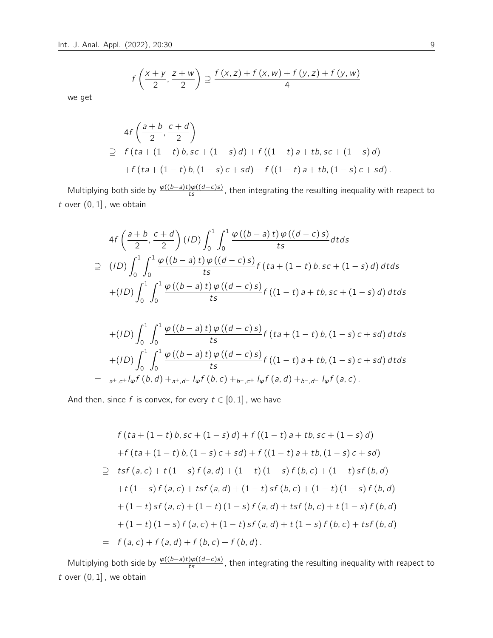$$
f\left(\frac{x+y}{2},\frac{z+w}{2}\right) \supseteq \frac{f(x,z)+f(x,w)+f(y,z)+f(y,w)}{4}
$$

we get

$$
4f\left(\frac{a+b}{2}, \frac{c+d}{2}\right)
$$
  
\n
$$
\supseteq f(ta + (1-t)b, sc + (1-s)d) + f((1-t)a + tb, sc + (1-s)d)
$$
  
\n
$$
+f(ta + (1-t)b, (1-s)c + sd) + f((1-t)a + tb, (1-s)c + sd).
$$

Multiplying both side by  $\frac{\varphi((b-a)t)\varphi((d-c)s)}{ts}$ , then integrating the resulting inequality with reapect to t over  $(0, 1]$ , we obtain

$$
4f\left(\frac{a+b}{2}, \frac{c+d}{2}\right)(1D)\int_{0}^{1}\int_{0}^{1}\frac{\varphi((b-a)t)\varphi((d-c)s)}{ts}dtds
$$
  
\n
$$
\supseteq (1D)\int_{0}^{1}\int_{0}^{1}\frac{\varphi((b-a)t)\varphi((d-c)s)}{ts}f(ta+(1-t)b, sc+(1-s)d)dtds
$$
  
\n
$$
+(1D)\int_{0}^{1}\int_{0}^{1}\frac{\varphi((b-a)t)\varphi((d-c)s)}{ts}f((1-t)a+tb, sc+(1-s)d)dtds
$$

$$
+(ID)\int_{0}^{1}\int_{0}^{1}\frac{\varphi((b-a) t)\varphi((d-c) s)}{ts}f(ta+(1-t) b,(1-s) c+sd) dtds
$$
  
+
$$
(ID)\int_{0}^{1}\int_{0}^{1}\frac{\varphi((b-a) t)\varphi((d-c) s)}{ts}f((1-t) a+tb,(1-s) c+sd) dtds
$$
  
=  $a^{+}, c^{+}l\varphi f(b,d)+a^{+}, d^{-}l\varphi f(b,c)+b^{-}, c^{+}l\varphi f(a,d)+b^{-}, d^{-}l\varphi f(a,c).$ 

And then, since f is convex, for every  $t \in [0, 1]$ , we have

$$
f(ta + (1-t)b, sc + (1-s)d) + f((1-t)a + tb, sc + (1-s)d)
$$
  
+
$$
f(ta + (1-t)b, (1-s)c + sd) + f((1-t)a + tb, (1-s)c + sd)
$$
  

$$
\geq tsf(a, c) + t(1-s)f(a, d) + (1-t)(1-s)f(b, c) + (1-t)sf(b, d)
$$
  
+
$$
t(1-s)f(a, c) + tsf(a, d) + (1-t)sf(b, c) + (1-t)(1-s)f(b, d)
$$
  
+
$$
(1-t)sf(a, c) + (1-t)(1-s)f(a, d) + tsf(b, c) + t(1-s)f(b, d)
$$
  
+
$$
(1-t)(1-s)f(a, c) + (1-t)sf(a, d) + t(1-s)f(b, c) + tsf(b, d)
$$
  
= 
$$
f(a, c) + f(a, d) + f(b, c) + f(b, d).
$$

Multiplying both side by  $\frac{\varphi((b-a)t)\varphi((d-c)s)}{ts}$ , then integrating the resulting inequality with reapect to  $t$  over  $(0, 1]$ , we obtain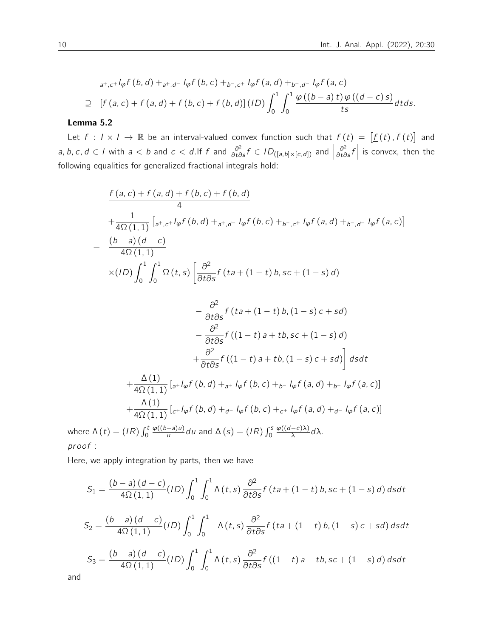$$
a^{+},c^{+} \int_{\varphi} f\left(b,d\right)+a^{+},d^{-} \int_{\varphi} f\left(b,c\right)+b^{-},c^{+} \int_{\varphi} f\left(a,d\right)+b^{-},d^{-} \int_{\varphi} f\left(a,c\right)
$$
  
\n
$$
\supseteq \left[f\left(a,c\right)+f\left(a,d\right)+f\left(b,c\right)+f\left(b,d\right)\right] \left(ID\right) \int_{0}^{1} \int_{0}^{1} \frac{\varphi\left(\left(b-a\right)t\right)\varphi\left(\left(d-c\right)s\right)}{ts} dtds.
$$

### Lemma 5.2

Let  $f: I \times I \to \mathbb{R}$  be an interval-valued convex function such that  $f(t) = [f(t), \overline{f}(t)]$  and a, b, c, d ∈ I with  $a < b$  and  $c < d$ . If f and  $\frac{\partial^2}{\partial t \partial s} f \in ID_{([a,b] \times [c,d])}$  and  $\Big|$  $\frac{\partial^2}{\partial t \partial s} f$  is convex, then the following equalities for generalized fractional integrals hold:

$$
\frac{f(a,c) + f(a,d) + f(b,c) + f(b,d)}{4}
$$
\n
$$
+\frac{1}{4\Omega(1,1)} \left[ a^+, c^+ l \varphi f(b,d) + a^+, d^- l \varphi f(b,c) + b^-, c^+ l \varphi f(a,d) + b^-, d^- l \varphi f(a,c) \right]
$$
\n
$$
= \frac{(b-a)(d-c)}{4\Omega(1,1)}
$$
\n
$$
\times (1D) \int_0^1 \int_0^1 \Omega(t,s) \left[ \frac{\partial^2}{\partial t \partial s} f(ta + (1-t)b, sc + (1-s)d) \right]
$$
\n
$$
\partial^2
$$

$$
-\frac{\partial^2}{\partial t \partial s} f (ta + (1 - t) b, (1 - s) c + sd)
$$

$$
-\frac{\partial^2}{\partial t \partial s} f ((1 - t) a + tb, sc + (1 - s) d)
$$

$$
+\frac{\partial^2}{\partial t \partial s} f ((1 - t) a + tb, (1 - s) c + sd) \, ds dt
$$

$$
+\frac{\Delta(1)}{4\Omega(1, 1)} \left[ a + l\phi f (b, d) + a + l\phi f (b, c) + b - l\phi f (a, d) + b - l\phi f (a, c) \right]
$$

$$
+\frac{\Delta(1)}{4\Omega(1, 1)} \left[ c + l\phi f (b, d) + d - l\phi f (b, c) + c + l\phi f (a, d) + d - l\phi f (a, c) \right]
$$
  
are  $\Delta(t) = (IR) \int_0^t \frac{\varphi((b-a)u)}{u} du$  and  $\Delta(s) = (IR) \int_0^s \frac{\varphi((d-c)\lambda)}{\lambda} d\lambda$ .

whe pr oof :

Here, we apply integration by parts, then we have

$$
S_1 = \frac{(b-a)(d-c)}{4\Omega(1,1)}(1D) \int_0^1 \int_0^1 \Lambda(t,s) \frac{\partial^2}{\partial t \partial s} f(ta + (1-t)b, sc + (1-s)d) ds dt
$$
  
\n
$$
S_2 = \frac{(b-a)(d-c)}{4\Omega(1,1)}(1D) \int_0^1 \int_0^1 -\Lambda(t,s) \frac{\partial^2}{\partial t \partial s} f(ta + (1-t)b, (1-s)c + sd) ds dt
$$
  
\n
$$
S_3 = \frac{(b-a)(d-c)}{4\Omega(1,1)}(1D) \int_0^1 \int_0^1 \Lambda(t,s) \frac{\partial^2}{\partial t \partial s} f((1-t)a + tb, sc + (1-s)d) ds dt
$$

and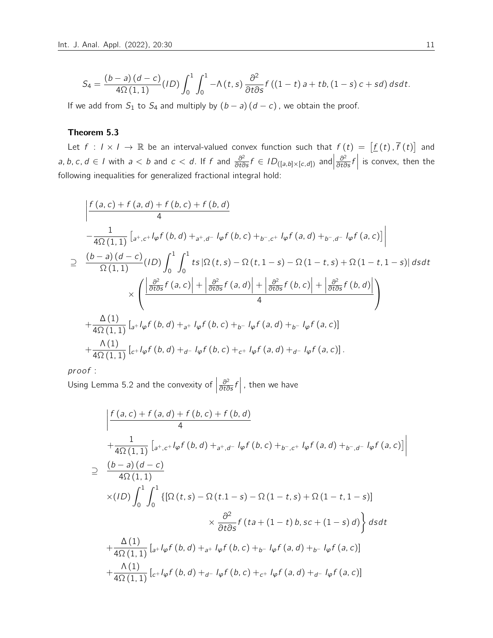$$
S_4 = \frac{(b-a)(d-c)}{4\Omega(1,1)}(ID)\int_0^1\int_0^1 -\Lambda(t,s)\frac{\partial^2}{\partial t\partial s}f((1-t)a+tb,(1-s)c+sd) dsdt.
$$

If we add from  $S_1$  to  $S_4$  and multiply by  $(b - a)(d - c)$ , we obtain the proof.

# Theorem 5.3

Let  $f: I \times I \to \mathbb{R}$  be an interval-valued convex function such that  $f(t) = [f(t), \overline{f}(t)]$  and a, b, c, d ∈ I with  $a < b$  and  $c < d$ . If f and  $\frac{\partial^2}{\partial t \partial s} f \in ID_{([a,b] \times [c,d])}$  and  $\frac{\partial^2}{\partial t \partial s} f$ is convex, then the following inequalities for generalized fractional integral hold:

$$
\frac{\int f(a,c) + f(a,d) + f(b,c) + f(b,d)}{4}
$$
\n
$$
-\frac{1}{4\Omega(1,1)} \left[ a^{+},c^{+} \sqrt{\varphi} f(b,d) + a^{+},d^{-} \sqrt{\varphi} f(b,c) + b^{-},c^{+} \sqrt{\varphi} f(a,d) + b^{-},d^{-} \sqrt{\varphi} f(a,c) \right]
$$
\n
$$
\geq \frac{(b-a)(d-c)}{\Omega(1,1)} (1D) \int_{0}^{1} \int_{0}^{1} ts |\Omega(t,s) - \Omega(t,1-s) - \Omega(1-t,s) + \Omega(1-t,1-s)| ds dt
$$
\n
$$
\times \left( \frac{\left| \frac{\partial^{2}}{\partial t \partial s} f(a,c) \right| + \left| \frac{\partial^{2}}{\partial t \partial s} f(a,d) \right| + \left| \frac{\partial^{2}}{\partial t \partial s} f(b,c) \right| + \left| \frac{\partial^{2}}{\partial t \partial s} f(b,d) \right|}{4} \right)
$$
\n
$$
+\frac{\Delta(1)}{4\Omega(1,1)} \left[ a^{+} \sqrt{\varphi} f(b,d) + a^{+} \sqrt{\varphi} f(b,c) + b^{-} \sqrt{\varphi} f(a,d) + b^{-} \sqrt{\varphi} f(a,c) \right]
$$
\n
$$
+\frac{\Delta(1)}{4\Omega(1,1)} \left[ c^{+} \sqrt{\varphi} f(b,d) + a^{-} \sqrt{\varphi} f(b,c) + c^{+} \sqrt{\varphi} f(a,d) + a^{-} \sqrt{\varphi} f(a,c) \right].
$$

pr oof :

Using Lemma 5.2 and the convexity of  $\Big|$  $\frac{\partial^2}{\partial t \partial s} f$ , then we have

$$
\begin{split}\n&\left|\frac{f(a,c)+f(a,d)+f(b,c)+f(b,d)}{4}\right. \\
&\left.+\frac{1}{4\Omega(1,1)}\left[a^+,c^+l\varphi f(b,d)+_{a^+,d^-}l\varphi f(b,c)+_{b^-,c^+}l\varphi f(a,d)+_{b^-,d^-}l\varphi f(a,c)\right]\right| \\
&\geq \frac{(b-a)(d-c)}{4\Omega(1,1)} \\
&\times (ID)\int_0^1 \int_0^1 \left\{\left[\Omega(t,s)-\Omega(t.1-s)-\Omega(1-t,s)+\Omega(1-t,1-s)\right]\right. \\
&\times \frac{\partial^2}{\partial t\partial s}f(ta+(1-t)b,sc+(1-s)d)\right\}dsdt \\
&+\frac{\Delta(1)}{4\Omega(1,1)}\left[a^+l\varphi f(b,d)+_{a^+}l\varphi f(b,c)+_{b^-}l\varphi f(a,d)+_{b^-}l\varphi f(a,c)\right] \\
&+\frac{\Lambda(1)}{4\Omega(1,1)}\left[c^+l\varphi f(b,d)+_{d^-}l\varphi f(b,c)+_{c^+}l\varphi f(a,d)+_{d^-}l\varphi f(a,c)\right]\n\end{split}
$$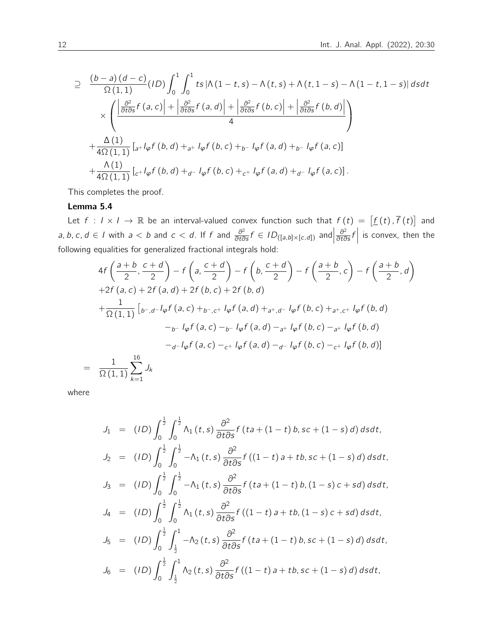$$
\supseteq \frac{(b-a)(d-c)}{\Omega(1,1)}(ID) \int_0^1 \int_0^1 ts \left|\Lambda(1-t,s) - \Lambda(t,s) + \Lambda(t,1-s) - \Lambda(1-t,1-s)\right| ds dt
$$
\n
$$
\times \left( \frac{\left|\frac{\partial^2}{\partial t \partial s} f(a,c)\right| + \left|\frac{\partial^2}{\partial t \partial s} f(a,d)\right| + \left|\frac{\partial^2}{\partial t \partial s} f(b,c)\right| + \left|\frac{\partial^2}{\partial t \partial s} f(b,d)\right|}{4} \right)
$$
\n
$$
+ \frac{\Delta(1)}{4\Omega(1,1)} \left[ a + l_{\varphi} f(b,d) + a + l_{\varphi} f(b,c) + b - l_{\varphi} f(a,d) + b - l_{\varphi} f(a,c) \right]
$$
\n
$$
+ \frac{\Lambda(1)}{4\Omega(1,1)} \left[ c + l_{\varphi} f(b,d) + a - l_{\varphi} f(b,c) + c + l_{\varphi} f(a,d) + a - l_{\varphi} f(a,c) \right].
$$

This completes the proof.

### Lemma 5.4

Let  $f: I \times I \to \mathbb{R}$  be an interval-valued convex function such that  $f(t) = [f(t), \overline{f}(t)]$  and a, b, c, d ∈ I with  $a < b$  and  $c < d$ . If f and  $\frac{\partial^2}{\partial t \partial s} f \in ID_{([a,b] \times [c,d])}$  and  $\frac{\partial^2}{\partial t \partial s} f$ is convex, then the following equalities for generalized fractional integrals hold:

$$
4f\left(\frac{a+b}{2}, \frac{c+d}{2}\right) - f\left(a, \frac{c+d}{2}\right) - f\left(b, \frac{c+d}{2}\right) - f\left(\frac{a+b}{2}, c\right) - f\left(\frac{a+b}{2}, d\right)
$$
  
+2f(a, c) + 2f(a, d) + 2f(b, c) + 2f(b, d)  
+ 
$$
\frac{1}{\Omega(1, 1)} \left[ b^{-1} d^{-1} \varphi f(a, c) + b^{-1} d^{-1} \varphi f(a, d) + a^{+1} d^{-1} \varphi f(b, c) + a^{+1} d^{-1} \varphi f(b, d) \right]
$$

$$
-b^{-1} \varphi f(a, c) - b^{-1} \varphi f(a, d) - a^{+1} \varphi f(b, c) - a^{+1} \varphi f(b, d)
$$

$$
-d^{-1} \varphi f(a, c) - c^{+1} \varphi f(a, d) - d^{-1} \varphi f(b, c) - c^{+1} \varphi f(b, d)
$$

$$
= \frac{1}{\Omega(1, 1)} \sum_{k=1}^{16} J_k
$$

where

$$
J_1 = (ID) \int_0^{\frac{1}{2}} \int_0^{\frac{1}{2}} \Lambda_1(t,s) \frac{\partial^2}{\partial t \partial s} f (ta + (1-t) b, sc + (1-s) d) ds dt,
$$
  
\n
$$
J_2 = (ID) \int_0^{\frac{1}{2}} \int_0^{\frac{1}{2}} -\Lambda_1(t,s) \frac{\partial^2}{\partial t \partial s} f ((1-t) a + tb, sc + (1-s) d) ds dt,
$$
  
\n
$$
J_3 = (ID) \int_0^{\frac{1}{2}} \int_0^{\frac{1}{2}} -\Lambda_1(t,s) \frac{\partial^2}{\partial t \partial s} f (ta + (1-t) b, (1-s) c + sd) ds dt,
$$
  
\n
$$
J_4 = (ID) \int_0^{\frac{1}{2}} \int_0^{\frac{1}{2}} \Lambda_1(t,s) \frac{\partial^2}{\partial t \partial s} f ((1-t) a + tb, (1-s) c + sd) ds dt,
$$
  
\n
$$
J_5 = (ID) \int_0^{\frac{1}{2}} \int_{\frac{1}{2}}^1 -\Lambda_2(t,s) \frac{\partial^2}{\partial t \partial s} f (ta + (1-t) b, sc + (1-s) d) ds dt,
$$
  
\n
$$
J_6 = (ID) \int_0^{\frac{1}{2}} \int_{\frac{1}{2}}^1 \Lambda_2(t,s) \frac{\partial^2}{\partial t \partial s} f ((1-t) a + tb, sc + (1-s) d) ds dt,
$$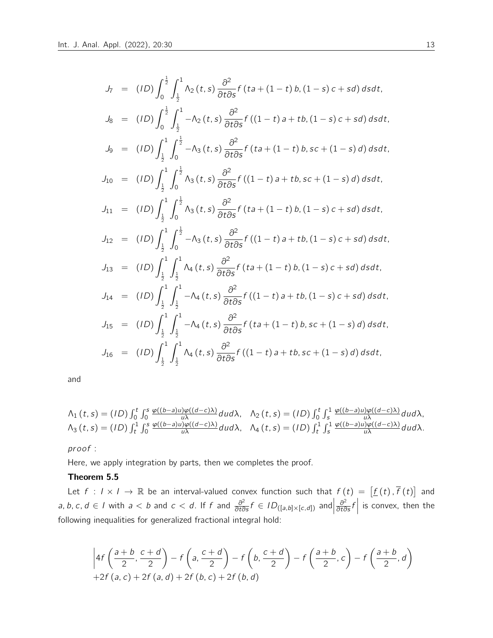$$
J_7 = (1D) \int_0^{\frac{1}{2}} \int_{\frac{1}{2}}^1 \Lambda_2(t,s) \frac{\partial^2}{\partial t \partial s} f(ta + (1-t) b, (1-s)c + sd) ds dt,
$$
  
\n
$$
J_8 = (1D) \int_0^{\frac{1}{2}} \int_{\frac{1}{2}}^1 - \Lambda_2(t,s) \frac{\partial^2}{\partial t \partial s} f((1-t) a + tb, (1-s)c + sd) ds dt,
$$
  
\n
$$
J_9 = (1D) \int_{\frac{1}{2}}^1 \int_0^{\frac{1}{2}} - \Lambda_3(t,s) \frac{\partial^2}{\partial t \partial s} f(ta + (1-t) b, sc + (1-s) d) ds dt,
$$
  
\n
$$
J_{10} = (1D) \int_{\frac{1}{2}}^1 \int_0^{\frac{1}{2}} \Lambda_3(t,s) \frac{\partial^2}{\partial t \partial s} f((1-t) a + tb, sc + (1-s) d) ds dt,
$$
  
\n
$$
J_{11} = (1D) \int_{\frac{1}{2}}^1 \int_0^{\frac{1}{2}} \Lambda_3(t,s) \frac{\partial^2}{\partial t \partial s} f(ta + (1-t) b, (1-s)c + sd) ds dt,
$$
  
\n
$$
J_{12} = (1D) \int_{\frac{1}{2}}^1 \int_0^{\frac{1}{2}} - \Lambda_3(t,s) \frac{\partial^2}{\partial t \partial s} f((1-t) a + tb, (1-s)c + sd) ds dt,
$$
  
\n
$$
J_{13} = (1D) \int_{\frac{1}{2}}^1 \int_{\frac{1}{2}}^1 \Lambda_4(t,s) \frac{\partial^2}{\partial t \partial s} f(ta + (1-t) b, (1-s)c + sd) ds dt,
$$
  
\n
$$
J_{14} = (1D) \int_{\frac{1}{2}}^1 \int_{\frac{1}{2}}^1 - \Lambda_4(t,s) \frac{\partial^2}{\partial t \partial s} f((1-t) a + tb, (1-s)c + sd) ds dt,
$$
  
\n
$$
J_{15} = (1D) \int_{\frac{1}{2}}^1 \int_{\frac{1}{2}}^1 - \Lambda_4(t,s) \frac{\partial^2}{\partial t \partial s} f(ta + (1-t) b, sc + (1-s) d) ds
$$

and

$$
\Lambda_1(t,s) = (ID) \int_0^t \int_0^s \frac{\varphi((b-a)u)\varphi((d-c)\lambda)}{u\lambda} du d\lambda, \quad \Lambda_2(t,s) = (ID) \int_0^t \int_s^1 \frac{\varphi((b-a)u)\varphi((d-c)\lambda)}{u\lambda} du d\lambda, \n\Lambda_3(t,s) = (ID) \int_t^1 \int_0^s \frac{\varphi((b-a)u)\varphi((d-c)\lambda)}{u\lambda} du d\lambda, \quad \Lambda_4(t,s) = (ID) \int_t^1 \int_s^1 \frac{\varphi((b-a)u)\varphi((d-c)\lambda)}{u\lambda} du d\lambda.
$$

pr oof :

Here, we apply integration by parts, then we completes the proof.

# Theorem 5.5

Let  $f: I \times I \to \mathbb{R}$  be an interval-valued convex function such that  $f(t) = [f(t), \overline{f}(t)]$  and a, b, c, d ∈ I with  $a < b$  and  $c < d$ . If f and  $\frac{\partial^2}{\partial t \partial s} f \in ID_{([a,b] \times [c,d])}$  and  $\frac{\partial^2}{\partial t \partial s} f$ is convex, then the following inequalities for generalized fractional integral hold:

$$
\left|4f\left(\frac{a+b}{2},\frac{c+d}{2}\right)-f\left(a,\frac{c+d}{2}\right)-f\left(b,\frac{c+d}{2}\right)-f\left(\frac{a+b}{2},c\right)-f\left(\frac{a+b}{2},d\right)\right|
$$
  
+2f(a,c)+2f(a,d)+2f(b,c)+2f(b,d)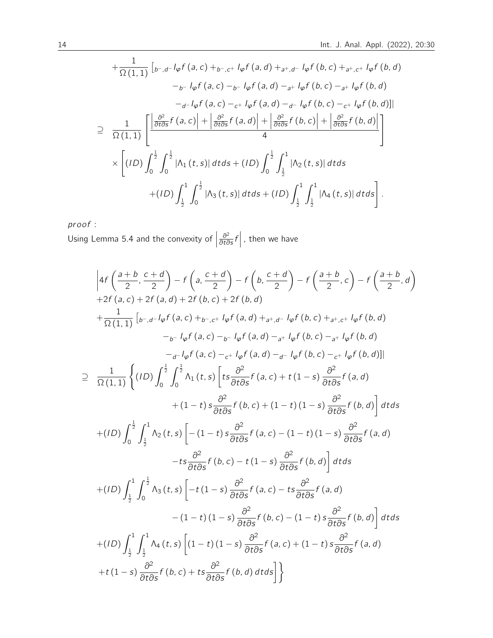$$
+\frac{1}{\Omega(1,1)}\left[{}_{b^-,d^-}l_{\varphi}f(a,c)+{}_{b^-,c^+}l_{\varphi}f(a,d)+{}_{a^+,d^-}l_{\varphi}f(b,c)+{}_{a^+,c^+}l_{\varphi}f(b,d)\right.-{}_{b^-}l_{\varphi}f(a,c)-{}_{b^-}l_{\varphi}f(a,d)-{}_{a^+}l_{\varphi}f(b,c)-{}_{a^+}l_{\varphi}f(b,d)-{}_{d^-}l_{\varphi}f(a,c)-{}_{c^+}l_{\varphi}f(a,d)-{}_{d^-}l_{\varphi}f(b,c)-{}_{c^+}l_{\varphi}f(b,d)\right]\n\n
$$
\supseteq \frac{1}{\Omega(1,1)}\left[\frac{\left|\frac{\partial^2}{\partial t\partial s}f(a,c)\right|+\left|\frac{\partial^2}{\partial t\partial s}f(a,d)\right|+\left|\frac{\partial^2}{\partial t\partial s}f(b,c)\right|+\left|\frac{\partial^2}{\partial t\partial s}f(b,d)\right|}{4}\right]\right]\times \times\left[(1D)\int_0^{\frac{1}{2}}\int_0^{\frac{1}{2}}\left|\Lambda_1(t,s)\right|dtds+(1D)\int_0^{\frac{1}{2}}\int_{\frac{1}{2}}^1\left|\Lambda_2(t,s)\right|dtds\right.+ (1D)\int_{\frac{1}{2}}^1\int_0^{\frac{1}{2}}\left|\Lambda_3(t,s)\right|dtds+(1D)\int_{\frac{1}{2}}^1\int_{\frac{1}{2}}^1\left|\Lambda_4(t,s)\right|dtds\right].
$$
$$

pr oof :

Using Lemma 5.4 and the convexity of  $\Big|$  $\frac{\partial^2}{\partial t \partial s} f$ , then we have

$$
\left|4f\left(\frac{a+b}{2}, \frac{c+d}{2}\right) - f\left(a, \frac{c+d}{2}\right) - f\left(b, \frac{c+d}{2}\right) - f\left(\frac{a+b}{2}, c\right) - f\left(\frac{a+b}{2}, d\right)\right|+2f(a, c) + 2f(a, d) + 2f(b, c) + 2f(b, d)+ \frac{1}{\Omega(1, 1)}\left[ b-, d - I_{\phi}f(a, c) + b-, c + I_{\phi}f(a, d) + a+, d - I_{\phi}f(b, c) + a+, c + I_{\phi}f(b, d)-b - I_{\phi}f(a, c) - b - I_{\phi}f(a, d) - a + I_{\phi}f(b, c) - a + I_{\phi}f(b, d)-d - I_{\phi}f(a, c) - c + I_{\phi}f(a, d) - d - I_{\phi}f(b, c) - c + I_{\phi}f(b, d)\right]\right|
$$
\supset \frac{1}{\Omega(1, 1)}\left\{ (ID) \int_{0}^{\frac{1}{2}} \int_{0}^{\frac{1}{2}} \Lambda_{1}(t, s) \left[ ts \frac{\partial^{2}}{\partial ts \partial s} f(a, c) + t(1 - s) \frac{\partial^{2}}{\partial ts \partial s} f(a, d) + (1 - t) \frac{\partial^{2}}{\partial ts \partial s} f(b, d) \right] dt ds\right\}+ (ID) \int_{0}^{\frac{1}{2}} \int_{\frac{1}{2}}^{1} \Lambda_{2}(t, s) \left[ -(1 - t) s \frac{\partial^{2}}{\partial ts \partial s} f(a, c) - (1 - t) (1 - s) \frac{\partial^{2}}{\partial ts \partial s} f(b, d) \right] dt ds+ (ID) \int_{\frac{1}{2}}^{1} \int_{0}^{\frac{1}{2}} \Lambda_{3}(t, s) \left[ -t(1 - s) \frac{\partial^{2}}{\partial ts \partial s} f(a, c) - ts \frac{\partial^{2}}{\partial ts \partial s} f(b, d) \right] dt ds+ (ID) \int_{\frac{1}{2}}^{1} \int_{0}^{\frac{1}{2}} \Lambda_{3}(t, s) \left[ -t(1 - s) \frac{\partial^{2}}{\partial ts \partial s} f(a, c) - ts \frac{\partial^{2}}{\partial ts \partial s} f(a, d) - (1 - t) (1 - s) \frac
$$
$$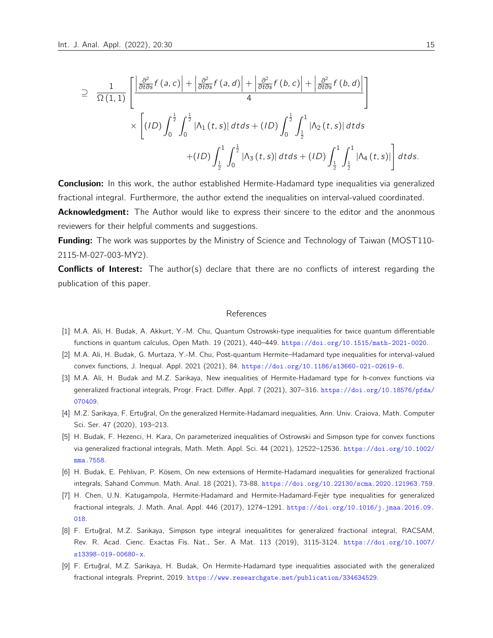$$
\supseteq \frac{1}{\Omega(1,1)}\left[\frac{\left|\frac{\partial^2}{\partial t \partial s}f(a,c)\right| + \left|\frac{\partial^2}{\partial t \partial s}f(a,d)\right| + \left|\frac{\partial^2}{\partial t \partial s}f(b,c)\right| + \left|\frac{\partial^2}{\partial t \partial s}f(b,d)\right|}{4}\right] \times \left[\left(ID\right)\int_0^{\frac{1}{2}} \int_0^{\frac{1}{2}} \left|\Lambda_1(t,s)\right| dt ds + (ID)\int_0^{\frac{1}{2}} \int_{\frac{1}{2}}^1 \left|\Lambda_2(t,s)\right| dt ds + (ID)\int_{\frac{1}{2}}^1 \int_0^1 \left|\Lambda_4(t,s)\right| dt ds + (ID)\int_{\frac{1}{2}}^1 \int_{\frac{1}{2}}^1 \left|\Lambda_4(t,s)\right| dt ds.
$$

**Conclusion:** In this work, the author established Hermite-Hadamard type inequalities via generalized fractional integral. Furthermore, the author extend the inequalities on interval-valued coordinated.

**Acknowledgment:** The Author would like to express their sincere to the editor and the anonmous reviewers for their helpful comments and suggestions.

**Funding:** The work was supportes by the Ministry of Science and Technology of Taiwan (MOST110-2115-M-027-003-MY2).

**Conflicts of Interest:** The author(s) declare that there are no conflicts of interest regarding the publication of this paper.

#### References

- [1] M.A. Ali, H. Budak, A. Akkurt, Y.-M. Chu, Quantum Ostrowski-type inequalities for twice quantum differentiable functions in quantum calculus, Open Math. 19 (2021), 440–449. <https://doi.org/10.1515/math-2021-0020>.
- [2] M.A. Ali, H. Budak, G. Murtaza, Y.-M. Chu, Post-quantum Hermite–Hadamard type inequalities for interval-valued convex functions, J. Inequal. Appl. 2021 (2021), 84. <https://doi.org/10.1186/s13660-021-02619-6>.
- [3] M.A. Ali, H. Budak and M.Z. Sarikaya, New inequalities of Hermite-Hadamard type for h-convex functions via generalized fractional integrals, Progr. Fract. Differ. Appl. 7 (2021), 307–316. [https://doi.org/10.18576/pfda/](https://doi.org/10.18576/pfda/070409) [070409](https://doi.org/10.18576/pfda/070409).
- [4] M.Z. Sarikaya, F. Ertuğral, On the generalized Hermite-Hadamard inequalities, Ann. Univ. Craiova, Math. Computer Sci. Ser. 47 (2020), 193–213.
- [5] H. Budak, F. Hezenci, H. Kara, On parameterized inequalities of Ostrowski and Simpson type for convex functions via generalized fractional integrals, Math. Meth. Appl. Sci. 44 (2021), 12522–12536. [https://doi.org/10.1002/](https://doi.org/10.1002/mma.7558) [mma.7558](https://doi.org/10.1002/mma.7558).
- [6] H. Budak, E. Pehlivan, P. Kösem, On new extensions of Hermite-Hadamard inequalities for generalized fractional integrals, Sahand Commun. Math. Anal. 18 (2021), 73-88. <https://doi.org/10.22130/scma.2020.121963.759>.
- [7] H. Chen, U.N. Katugampola, Hermite-Hadamard and Hermite-Hadamard-Fejér type inequalities for generalized fractional integrals, J. Math. Anal. Appl. 446 (2017), 1274–1291. [https://doi.org/10.1016/j.jmaa.2016.09.](https://doi.org/10.1016/j.jmaa.2016.09.018) [018](https://doi.org/10.1016/j.jmaa.2016.09.018).
- [8] F. Ertuğral, M.Z. Sarikaya, Simpson type integral inequalitites for generalized fractional integral, RACSAM, Rev. R. Acad. Cienc. Exactas Fís. Nat., Ser. A Mat. 113 (2019), 3115-3124. [https://doi.org/10.1007/](https://doi.org/10.1007/s13398-019-00680-x) [s13398-019-00680-x](https://doi.org/10.1007/s13398-019-00680-x).
- [9] F. Ertuğral, M.Z. Sarikaya, H. Budak, On Hermite-Hadamard type inequalities associated with the generalized fractional integrals. Preprint, 2019. <https://www.researchgate.net/publication/334634529>.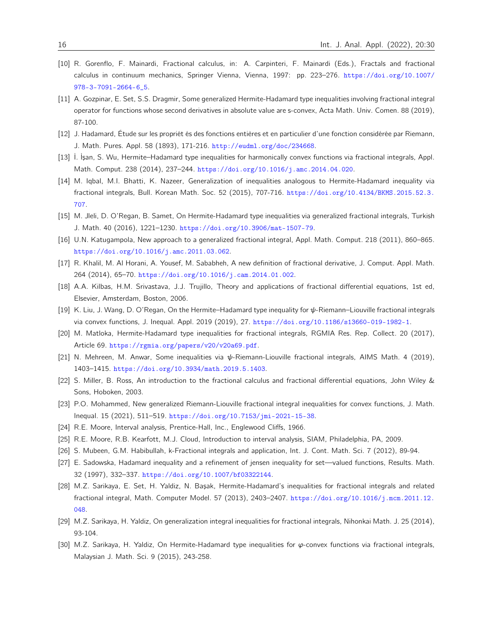- [10] R. Gorenflo, F. Mainardi, Fractional calculus, in: A. Carpinteri, F. Mainardi (Eds.), Fractals and fractional calculus in continuum mechanics, Springer Vienna, Vienna, 1997: pp. 223–276. [https://doi.org/10.1007/](https://doi.org/10.1007/978-3-7091-2664-6_5) [978-3-7091-2664-6\\_5](https://doi.org/10.1007/978-3-7091-2664-6_5).
- [11] A. Gozpinar, E. Set, S.S. Dragmir, Some generalized Hermite-Hadamard type inequalities involving fractional integral operator for functions whose second derivatives in absolute value are s-convex, Acta Math. Univ. Comen. 88 (2019), 87-100.
- [12] J. Hadamard, Étude sur les propriét és des fonctions entières et en particulier d'une fonction considérée par Riemann, J. Math. Pures. Appl. 58 (1893), 171-216. <http://eudml.org/doc/234668>.
- [13] İ. İşan, S. Wu, Hermite–Hadamard type inequalities for harmonically convex functions via fractional integrals, Appl. Math. Comput. 238 (2014), 237–244. <https://doi.org/10.1016/j.amc.2014.04.020>.
- [14] M. Iqbal, M.I. Bhatti, K. Nazeer, Generalization of inequalities analogous to Hermite-Hadamard inequality via fractional integrals, Bull. Korean Math. Soc. 52 (2015), 707-716. [https://doi.org/10.4134/BKMS.2015.52.3.](https://doi.org/10.4134/BKMS.2015.52.3.707) [707](https://doi.org/10.4134/BKMS.2015.52.3.707).
- [15] M. Jleli, D. O'Regan, B. Samet, On Hermite-Hadamard type inequalities via generalized fractional integrals, Turkish J. Math. 40 (2016), 1221–1230. <https://doi.org/10.3906/mat-1507-79>.
- [16] U.N. Katugampola, New approach to a generalized fractional integral, Appl. Math. Comput. 218 (2011), 860–865. <https://doi.org/10.1016/j.amc.2011.03.062>.
- [17] R. Khalil, M. Al Horani, A. Yousef, M. Sababheh, A new definition of fractional derivative, J. Comput. Appl. Math. 264 (2014), 65–70. <https://doi.org/10.1016/j.cam.2014.01.002>.
- [18] A.A. Kilbas, H.M. Srivastava, J.J. Trujillo, Theory and applications of fractional differential equations, 1st ed, Elsevier, Amsterdam, Boston, 2006.
- [19] K. Liu, J. Wang, D. O'Regan, On the Hermite–Hadamard type inequality for ψ-Riemann–Liouville fractional integrals via convex functions, J. Inequal. Appl. 2019 (2019), 27. <https://doi.org/10.1186/s13660-019-1982-1>.
- [20] M. Matloka, Hermite-Hadamard type inequalities for fractional integrals, RGMIA Res. Rep. Collect. 20 (2017), Article 69. <https://rgmia.org/papers/v20/v20a69.pdf>.
- [21] N. Mehreen, M. Anwar, Some inequalities via ψ-Riemann-Liouville fractional integrals, AIMS Math. 4 (2019), 1403–1415. <https://doi.org/10.3934/math.2019.5.1403>.
- [22] S. Miller, B. Ross, An introduction to the fractional calculus and fractional differential equations, John Wiley & Sons, Hoboken, 2003.
- [23] P.O. Mohammed, New generalized Riemann-Liouville fractional integral inequalities for convex functions, J. Math. Inequal. 15 (2021), 511–519. <https://doi.org/10.7153/jmi-2021-15-38>.
- [24] R.E. Moore, Interval analysis, Prentice-Hall, Inc., Englewood Cliffs, 1966.
- [25] R.E. Moore, R.B. Kearfott, M.J. Cloud, Introduction to interval analysis, SIAM, Philadelphia, PA, 2009.
- [26] S. Mubeen, G.M. Habibullah, k-Fractional integrals and application, Int. J. Cont. Math. Sci. 7 (2012), 89-94.
- [27] E. Sadowska, Hadamard inequality and a refinement of jensen inequality for set—valued functions, Results. Math. 32 (1997), 332–337. <https://doi.org/10.1007/bf03322144>.
- [28] M.Z. Sarikaya, E. Set, H. Yaldiz, N. Başak, Hermite-Hadamard's inequalities for fractional integrals and related fractional integral, Math. Computer Model. 57 (2013), 2403–2407. [https://doi.org/10.1016/j.mcm.2011.12.](https://doi.org/10.1016/j.mcm.2011.12.048) [048](https://doi.org/10.1016/j.mcm.2011.12.048).
- [29] M.Z. Sarikaya, H. Yaldiz, On generalization integral inequalities for fractional integrals, Nihonkai Math. J. 25 (2014), 93-104.
- [30] M.Z. Sarikaya, H. Yaldiz, On Hermite-Hadamard type inequalities for φ-convex functions via fractional integrals, Malaysian J. Math. Sci. 9 (2015), 243-258.